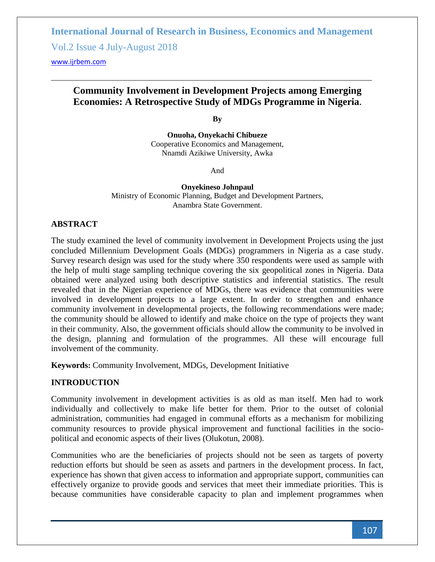Vol.2 Issue 4 July-August 2018

<www.ijrbem.com>

## **Community Involvement in Development Projects among Emerging Economies: A Retrospective Study of MDGs Programme in Nigeria.**

**By**

**Onuoha, Onyekachi Chibueze** Cooperative Economics and Management, Nnamdi Azikiwe University, Awka

And

**Onyekineso Johnpaul** Ministry of Economic Planning, Budget and Development Partners, Anambra State Government.

## **ABSTRACT**

The study examined the level of community involvement in Development Projects using the just concluded Millennium Development Goals (MDGs) programmers in Nigeria as a case study. Survey research design was used for the study where 350 respondents were used as sample with the help of multi stage sampling technique covering the six geopolitical zones in Nigeria. Data obtained were analyzed using both descriptive statistics and inferential statistics. The result revealed that in the Nigerian experience of MDGs, there was evidence that communities were involved in development projects to a large extent. In order to strengthen and enhance community involvement in developmental projects, the following recommendations were made; the community should be allowed to identify and make choice on the type of projects they want in their community. Also, the government officials should allow the community to be involved in the design, planning and formulation of the programmes. All these will encourage full involvement of the community.

**Keywords:** Community Involvement, MDGs, Development Initiative

## **INTRODUCTION**

Community involvement in development activities is as old as man itself. Men had to work individually and collectively to make life better for them. Prior to the outset of colonial administration, communities had engaged in communal efforts as a mechanism for mobilizing community resources to provide physical improvement and functional facilities in the sociopolitical and economic aspects of their lives (Olukotun, 2008).

Communities who are the beneficiaries of projects should not be seen as targets of poverty reduction efforts but should be seen as assets and partners in the development process. In fact, experience has shown that given access to information and appropriate support, communities can effectively organize to provide goods and services that meet their immediate priorities. This is because communities have considerable capacity to plan and implement programmes when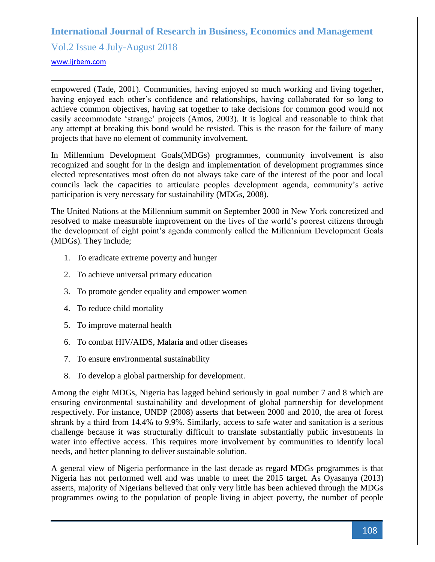Vol.2 Issue 4 July-August 2018

<www.ijrbem.com>

empowered (Tade, 2001). Communities, having enjoyed so much working and living together, having enjoyed each other's confidence and relationships, having collaborated for so long to achieve common objectives, having sat together to take decisions for common good would not easily accommodate 'strange' projects (Amos, 2003). It is logical and reasonable to think that any attempt at breaking this bond would be resisted. This is the reason for the failure of many projects that have no element of community involvement.

In Millennium Development Goals(MDGs) programmes, community involvement is also recognized and sought for in the design and implementation of development programmes since elected representatives most often do not always take care of the interest of the poor and local councils lack the capacities to articulate peoples development agenda, community's active participation is very necessary for sustainability (MDGs, 2008).

The United Nations at the Millennium summit on September 2000 in New York concretized and resolved to make measurable improvement on the lives of the world's poorest citizens through the development of eight point's agenda commonly called the Millennium Development Goals (MDGs). They include;

- 1. To eradicate extreme poverty and hunger
- 2. To achieve universal primary education
- 3. To promote gender equality and empower women
- 4. To reduce child mortality
- 5. To improve maternal health
- 6. To combat HIV/AIDS, Malaria and other diseases
- 7. To ensure environmental sustainability
- 8. To develop a global partnership for development.

Among the eight MDGs, Nigeria has lagged behind seriously in goal number 7 and 8 which are ensuring environmental sustainability and development of global partnership for development respectively. For instance, UNDP (2008) asserts that between 2000 and 2010, the area of forest shrank by a third from 14.4% to 9.9%. Similarly, access to safe water and sanitation is a serious challenge because it was structurally difficult to translate substantially public investments in water into effective access. This requires more involvement by communities to identify local needs, and better planning to deliver sustainable solution.

A general view of Nigeria performance in the last decade as regard MDGs programmes is that Nigeria has not performed well and was unable to meet the 2015 target. As Oyasanya (2013) asserts, majority of Nigerians believed that only very little has been achieved through the MDGs programmes owing to the population of people living in abject poverty, the number of people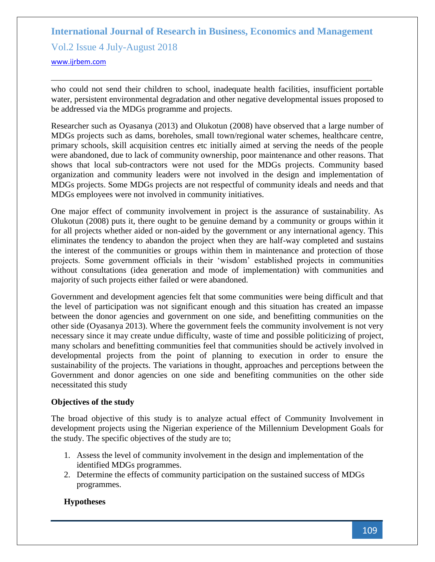Vol.2 Issue 4 July-August 2018

<www.ijrbem.com>

who could not send their children to school, inadequate health facilities, insufficient portable water, persistent environmental degradation and other negative developmental issues proposed to be addressed via the MDGs programme and projects.

Researcher such as Oyasanya (2013) and Olukotun (2008) have observed that a large number of MDGs projects such as dams, boreholes, small town/regional water schemes, healthcare centre, primary schools, skill acquisition centres etc initially aimed at serving the needs of the people were abandoned, due to lack of community ownership, poor maintenance and other reasons. That shows that local sub-contractors were not used for the MDGs projects. Community based organization and community leaders were not involved in the design and implementation of MDGs projects. Some MDGs projects are not respectful of community ideals and needs and that MDGs employees were not involved in community initiatives.

One major effect of community involvement in project is the assurance of sustainability. As Olukotun (2008) puts it, there ought to be genuine demand by a community or groups within it for all projects whether aided or non-aided by the government or any international agency. This eliminates the tendency to abandon the project when they are half-way completed and sustains the interest of the communities or groups within them in maintenance and protection of those projects. Some government officials in their 'wisdom' established projects in communities without consultations (idea generation and mode of implementation) with communities and majority of such projects either failed or were abandoned.

Government and development agencies felt that some communities were being difficult and that the level of participation was not significant enough and this situation has created an impasse between the donor agencies and government on one side, and benefitting communities on the other side (Oyasanya 2013). Where the government feels the community involvement is not very necessary since it may create undue difficulty, waste of time and possible politicizing of project, many scholars and benefitting communities feel that communities should be actively involved in developmental projects from the point of planning to execution in order to ensure the sustainability of the projects. The variations in thought, approaches and perceptions between the Government and donor agencies on one side and benefiting communities on the other side necessitated this study

## **Objectives of the study**

The broad objective of this study is to analyze actual effect of Community Involvement in development projects using the Nigerian experience of the Millennium Development Goals for the study. The specific objectives of the study are to;

- 1. Assess the level of community involvement in the design and implementation of the identified MDGs programmes.
- 2. Determine the effects of community participation on the sustained success of MDGs programmes.

## **Hypotheses**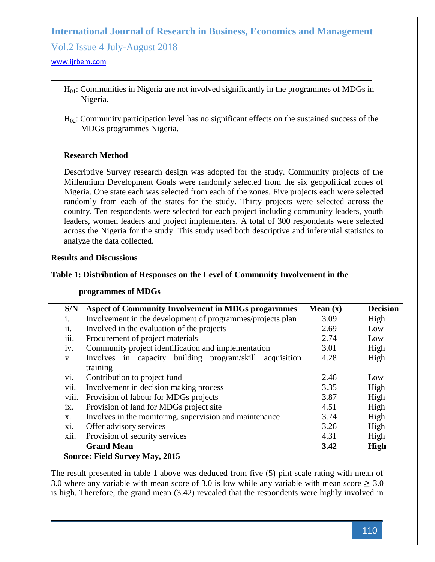Vol.2 Issue 4 July-August 2018

#### <www.ijrbem.com>

- $H<sub>01</sub>$ : Communities in Nigeria are not involved significantly in the programmes of MDGs in Nigeria.
- $H<sub>02</sub>$ : Community participation level has no significant effects on the sustained success of the MDGs programmes Nigeria.

### **Research Method**

Descriptive Survey research design was adopted for the study. Community projects of the Millennium Development Goals were randomly selected from the six geopolitical zones of Nigeria. One state each was selected from each of the zones. Five projects each were selected randomly from each of the states for the study. Thirty projects were selected across the country. Ten respondents were selected for each project including community leaders, youth leaders, women leaders and project implementers. A total of 300 respondents were selected across the Nigeria for the study. This study used both descriptive and inferential statistics to analyze the data collected.

#### **Results and Discussions**

#### **Table 1: Distribution of Responses on the Level of Community Involvement in the**

#### **programmes of MDGs**

| S/N            | <b>Aspect of Community Involvement in MDGs progarmmes</b>  | Mean $(x)$ | <b>Decision</b> |
|----------------|------------------------------------------------------------|------------|-----------------|
| $\mathbf{1}$ . | Involvement in the development of programmes/projects plan | 3.09       | High            |
| 11.            | Involved in the evaluation of the projects                 | 2.69       | Low             |
| iii.           | Procurement of project materials                           | 2.74       | Low             |
| iv.            | Community project identification and implementation        | 3.01       | High            |
| V.             | Involves in capacity building program/skill<br>acquisition | 4.28       | High            |
|                | training                                                   |            |                 |
| vi.            | Contribution to project fund                               | 2.46       | Low             |
| vii.           | Involvement in decision making process                     | 3.35       | High            |
| viii.          | Provision of labour for MDGs projects                      | 3.87       | High            |
| ix.            | Provision of land for MDGs project site                    | 4.51       | High            |
| X.             | Involves in the monitoring, supervision and maintenance    | 3.74       | High            |
| X1.            | Offer advisory services                                    | 3.26       | High            |
| xii.           | Provision of security services                             | 4.31       | High            |
|                | <b>Grand Mean</b>                                          | 3.42       | <b>High</b>     |

#### **Source: Field Survey May, 2015**

The result presented in table 1 above was deduced from five (5) pint scale rating with mean of 3.0 where any variable with mean score of 3.0 is low while any variable with mean score  $\geq 3.0$ is high. Therefore, the grand mean (3.42) revealed that the respondents were highly involved in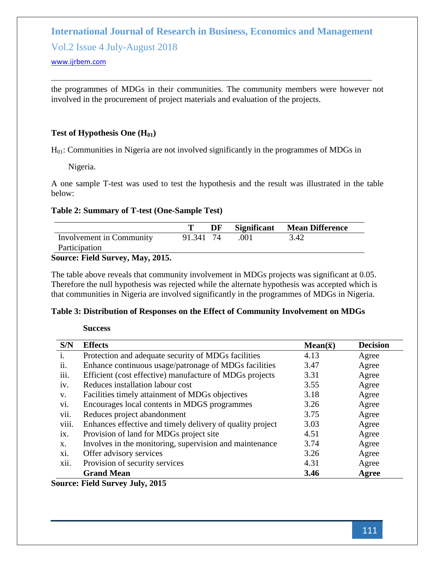Vol.2 Issue 4 July-August 2018

#### <www.ijrbem.com>

the programmes of MDGs in their communities. The community members were however not involved in the procurement of project materials and evaluation of the projects.

### **Test of Hypothesis One (H01)**

 $H<sub>01</sub>$ : Communities in Nigeria are not involved significantly in the programmes of MDGs in

Nigeria.

A one sample T-test was used to test the hypothesis and the result was illustrated in the table below:

## **Table 2: Summary of T-test (One-Sample Test)**

|                                                               |           | DF |       | Significant Mean Difference |
|---------------------------------------------------------------|-----------|----|-------|-----------------------------|
| Involvement in Community                                      | 91.341 74 |    | - 001 | 3.42                        |
| Participation                                                 |           |    |       |                             |
| $\Gamma_{\alpha\mu\nu\rho\alpha\alpha}$ Eigle Gunner May 2015 |           |    |       |                             |

#### **Source: Field Survey, May, 2015.**

The table above reveals that community involvement in MDGs projects was significant at 0.05. Therefore the null hypothesis was rejected while the alternate hypothesis was accepted which is that communities in Nigeria are involved significantly in the programmes of MDGs in Nigeria.

#### **Table 3: Distribution of Responses on the Effect of Community Involvement on MDGs**

#### **Success**

| S/N               | <b>Effects</b>                                            | $Mean(\bar{x})$ | <b>Decision</b> |
|-------------------|-----------------------------------------------------------|-----------------|-----------------|
| $\mathbf{1}$ .    | Protection and adequate security of MDGs facilities       | 4.13            | Agree           |
| $\overline{11}$ . | Enhance continuous usage/patronage of MDGs facilities     | 3.47            | Agree           |
| 111.              | Efficient (cost effective) manufacture of MDGs projects   | 3.31            | Agree           |
| iv.               | Reduces installation labour cost                          | 3.55            | Agree           |
| V.                | Facilities timely attainment of MDGs objectives           | 3.18            | Agree           |
| vi.               | Encourages local contents in MDGS programmes              | 3.26            | Agree           |
| vii.              | Reduces project abandonment                               | 3.75            | Agree           |
| viii.             | Enhances effective and timely delivery of quality project | 3.03            | Agree           |
| $\overline{1}X$ . | Provision of land for MDGs project site                   | 4.51            | Agree           |
| X.                | Involves in the monitoring, supervision and maintenance   | 3.74            | Agree           |
| xi.               | Offer advisory services                                   | 3.26            | Agree           |
| xii.              | Provision of security services                            | 4.31            | Agree           |
|                   | <b>Grand Mean</b>                                         | 3.46            | Agree           |

**Source: Field Survey July, 2015**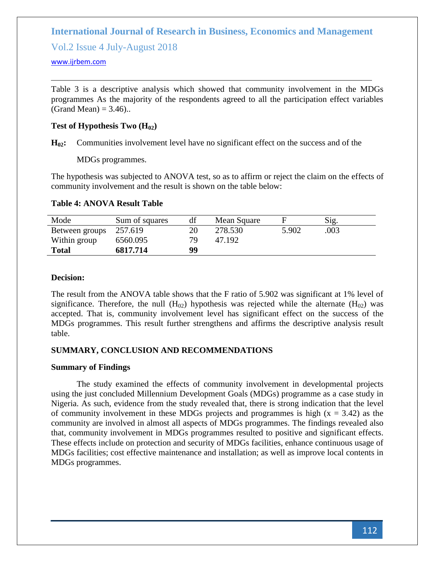Vol.2 Issue 4 July-August 2018

#### <www.ijrbem.com>

Table 3 is a descriptive analysis which showed that community involvement in the MDGs programmes As the majority of the respondents agreed to all the participation effect variables (Grand Mean)  $= 3.46$ )..

### **Test of Hypothesis Two**  $(H_{02})$

**H02:** Communities involvement level have no significant effect on the success and of the

MDGs programmes.

The hypothesis was subjected to ANOVA test, so as to affirm or reject the claim on the effects of community involvement and the result is shown on the table below:

#### **Table 4: ANOVA Result Table**

| Mode           | Sum of squares | df  | Mean Square |       | Sig. |  |
|----------------|----------------|-----|-------------|-------|------|--|
| Between groups | 257.619        |     | 278.530     | 5.902 | .003 |  |
| Within group   | 6560.095       | 79. | 47.192      |       |      |  |
| <b>Total</b>   | 6817.714       | 99  |             |       |      |  |
|                |                |     |             |       |      |  |

#### **Decision:**

The result from the ANOVA table shows that the F ratio of 5.902 was significant at 1% level of significance. Therefore, the null  $(H_{02})$  hypothesis was rejected while the alternate  $(H_{02})$  was accepted. That is, community involvement level has significant effect on the success of the MDGs programmes. This result further strengthens and affirms the descriptive analysis result table.

#### **SUMMARY, CONCLUSION AND RECOMMENDATIONS**

#### **Summary of Findings**

The study examined the effects of community involvement in developmental projects using the just concluded Millennium Development Goals (MDGs) programme as a case study in Nigeria. As such, evidence from the study revealed that, there is strong indication that the level of community involvement in these MDGs projects and programmes is high  $(x = 3.42)$  as the community are involved in almost all aspects of MDGs programmes. The findings revealed also that, community involvement in MDGs programmes resulted to positive and significant effects. These effects include on protection and security of MDGs facilities, enhance continuous usage of MDGs facilities; cost effective maintenance and installation; as well as improve local contents in MDGs programmes.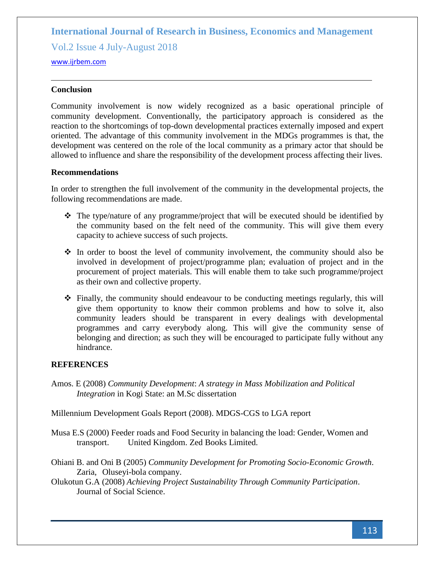Vol.2 Issue 4 July-August 2018

<www.ijrbem.com>

### **Conclusion**

Community involvement is now widely recognized as a basic operational principle of community development. Conventionally, the participatory approach is considered as the reaction to the shortcomings of top-down developmental practices externally imposed and expert oriented. The advantage of this community involvement in the MDGs programmes is that, the development was centered on the role of the local community as a primary actor that should be allowed to influence and share the responsibility of the development process affecting their lives.

#### **Recommendations**

In order to strengthen the full involvement of the community in the developmental projects, the following recommendations are made.

- $\div$  The type/nature of any programme/project that will be executed should be identified by the community based on the felt need of the community. This will give them every capacity to achieve success of such projects.
- $\div$  In order to boost the level of community involvement, the community should also be involved in development of project/programme plan; evaluation of project and in the procurement of project materials. This will enable them to take such programme/project as their own and collective property.
- $\hat{\mathbf{v}}$  Finally, the community should endeavour to be conducting meetings regularly, this will give them opportunity to know their common problems and how to solve it, also community leaders should be transparent in every dealings with developmental programmes and carry everybody along. This will give the community sense of belonging and direction; as such they will be encouraged to participate fully without any hindrance.

## **REFERENCES**

Amos. E (2008) *Community Development*: *A strategy in Mass Mobilization and Political Integration* in Kogi State: an M.Sc dissertation

Millennium Development Goals Report (2008). MDGS-CGS to LGA report

- Musa E.S (2000) Feeder roads and Food Security in balancing the load: Gender, Women and transport. United Kingdom. Zed Books Limited.
- Ohiani B. and Oni B (2005) *Community Development for Promoting Socio-Economic Growth*. Zaria, Oluseyi-bola company.
- Olukotun G.A (2008) *Achieving Project Sustainability Through Community Participation*. Journal of Social Science.